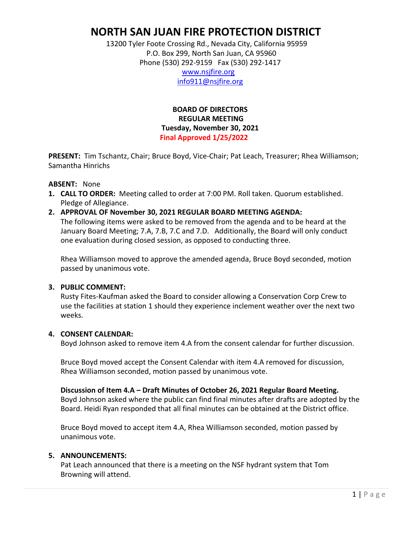# **NORTH SAN JUAN FIRE PROTECTION DISTRICT**

 13200 Tyler Foote Crossing Rd., Nevada City, California 95959 P.O. Box 299, North San Juan, CA 95960 Phone (530) 292-9159 Fax (530) 292-1417

 [www.nsjfire.org](http://www.nsjfire.org/) [info911@nsjfire.org](mailto:info911@nsjfire.org)

 **BOARD OF DIRECTORS REGULAR MEETING Tuesday, November 30, 2021 Final Approved 1/25/2022**

**PRESENT:** Tim Tschantz, Chair; Bruce Boyd, Vice-Chair; Pat Leach, Treasurer; Rhea Williamson; Samantha Hinrichs

#### **ABSENT:** None

- **1. CALL TO ORDER:** Meeting called to order at 7:00 PM. Roll taken. Quorum established. Pledge of Allegiance.
- **2. APPROVAL OF November 30, 2021 REGULAR BOARD MEETING AGENDA:** The following items were asked to be removed from the agenda and to be heard at the January Board Meeting; 7.A, 7.B, 7.C and 7.D. Additionally, the Board will only conduct one evaluation during closed session, as opposed to conducting three.

Rhea Williamson moved to approve the amended agenda, Bruce Boyd seconded, motion passed by unanimous vote.

#### **3. PUBLIC COMMENT:**

Rusty Fites-Kaufman asked the Board to consider allowing a Conservation Corp Crew to use the facilities at station 1 should they experience inclement weather over the next two weeks.

#### **4. CONSENT CALENDAR:**

Boyd Johnson asked to remove item 4.A from the consent calendar for further discussion.

Bruce Boyd moved accept the Consent Calendar with item 4.A removed for discussion, Rhea Williamson seconded, motion passed by unanimous vote.

**Discussion of Item 4.A – Draft Minutes of October 26, 2021 Regular Board Meeting.**  Boyd Johnson asked where the public can find final minutes after drafts are adopted by the Board. Heidi Ryan responded that all final minutes can be obtained at the District office.

Bruce Boyd moved to accept item 4.A, Rhea Williamson seconded, motion passed by unanimous vote.

#### **5. ANNOUNCEMENTS:**

Pat Leach announced that there is a meeting on the NSF hydrant system that Tom Browning will attend.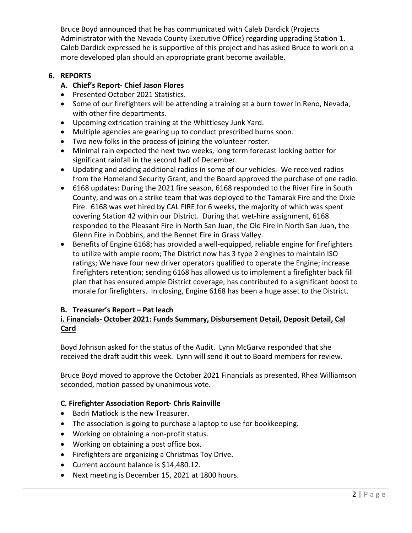Bruce Boyd announced that he has communicated with Caleb Dardick (Projects Administrator with the Nevada County Executive Office) regarding upgrading Station 1. Caleb Dardick expressed he is supportive of this project and has asked Bruce to work on a more developed plan should an appropriate grant become available.

# **6. REPORTS**

- **A. Chief's Report- Chief Jason Flores**
- Presented October 2021 Statistics.
- Some of our firefighters will be attending a training at a burn tower in Reno, Nevada, with other fire departments.
- Upcoming extrication training at the Whittlesey Junk Yard.
- Multiple agencies are gearing up to conduct prescribed burns soon.
- Two new folks in the process of joining the volunteer roster.
- Minimal rain expected the next two weeks, long term forecast looking better for significant rainfall in the second half of December.
- Updating and adding additional radios in some of our vehicles. We received radios from the Homeland Security Grant, and the Board approved the purchase of one radio.
- 6168 updates: During the 2021 fire season, 6168 responded to the River Fire in South County, and was on a strike team that was deployed to the Tamarak Fire and the Dixie Fire. 6168 was wet hired by CAL FIRE for 6 weeks, the majority of which was spent covering Station 42 within our District. During that wet-hire assignment, 6168 responded to the Pleasant Fire in North San Juan, the Old Fire in North San Juan, the Glenn Fire in Dobbins, and the Bennet Fire in Grass Valley.
- Benefits of Engine 6168; has provided a well-equipped, reliable engine for firefighters to utilize with ample room; The District now has 3 type 2 engines to maintain ISO ratings; We have four new driver operators qualified to operate the Engine; increase firefighters retention; sending 6168 has allowed us to implement a firefighter back fill plan that has ensured ample District coverage; has contributed to a significant boost to morale for firefighters. In closing, Engine 6168 has been a huge asset to the District.

# **B. Treasurer's Report – Pat leach**

# **i. Financials- October 2021: Funds Summary, Disbursement Detail, Deposit Detail, Cal Card**

Boyd Johnson asked for the status of the Audit. Lynn McGarva responded that she received the draft audit this week. Lynn will send it out to Board members for review.

Bruce Boyd moved to approve the October 2021 Financials as presented, Rhea Williamson seconded, motion passed by unanimous vote.

# **C. Firefighter Association Report- Chris Rainville**

- Badri Matlock is the new Treasurer.
- The association is going to purchase a laptop to use for bookkeeping.
- Working on obtaining a non-profit status.
- Working on obtaining a post office box.
- Firefighters are organizing a Christmas Toy Drive.
- Current account balance is \$14,480.12.
- Next meeting is December 15, 2021 at 1800 hours.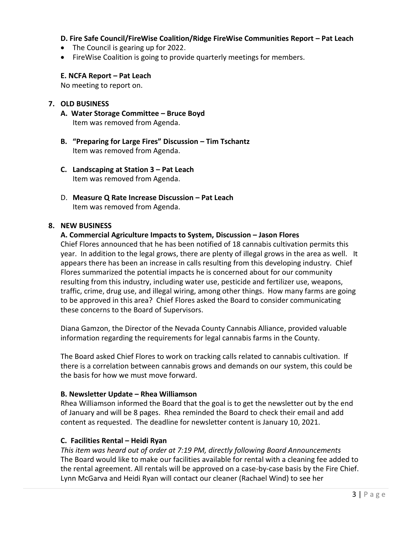# **D. Fire Safe Council/FireWise Coalition/Ridge FireWise Communities Report – Pat Leach**

- The Council is gearing up for 2022.
- FireWise Coalition is going to provide quarterly meetings for members.

## **E. NCFA Report – Pat Leach**

No meeting to report on.

## **7. OLD BUSINESS**

- **A. Water Storage Committee – Bruce Boyd** Item was removed from Agenda.
- **B. "Preparing for Large Fires" Discussion – Tim Tschantz** Item was removed from Agenda.
- **C. Landscaping at Station 3 – Pat Leach** Item was removed from Agenda.
- D. **Measure Q Rate Increase Discussion – Pat Leach** Item was removed from Agenda.

### **8. NEW BUSINESS**

## **A. Commercial Agriculture Impacts to System, Discussion – Jason Flores**

Chief Flores announced that he has been notified of 18 cannabis cultivation permits this year. In addition to the legal grows, there are plenty of illegal grows in the area as well. It appears there has been an increase in calls resulting from this developing industry. Chief Flores summarized the potential impacts he is concerned about for our community resulting from this industry, including water use, pesticide and fertilizer use, weapons, traffic, crime, drug use, and illegal wiring, among other things. How many farms are going to be approved in this area? Chief Flores asked the Board to consider communicating these concerns to the Board of Supervisors.

Diana Gamzon, the Director of the Nevada County Cannabis Alliance, provided valuable information regarding the requirements for legal cannabis farms in the County.

The Board asked Chief Flores to work on tracking calls related to cannabis cultivation. If there is a correlation between cannabis grows and demands on our system, this could be the basis for how we must move forward.

#### **B. Newsletter Update – Rhea Williamson**

Rhea Williamson informed the Board that the goal is to get the newsletter out by the end of January and will be 8 pages. Rhea reminded the Board to check their email and add content as requested. The deadline for newsletter content is January 10, 2021.

# **C. Facilities Rental – Heidi Ryan**

*This item was heard out of order at 7:19 PM, directly following Board Announcements* The Board would like to make our facilities available for rental with a cleaning fee added to the rental agreement. All rentals will be approved on a case-by-case basis by the Fire Chief. Lynn McGarva and Heidi Ryan will contact our cleaner (Rachael Wind) to see her